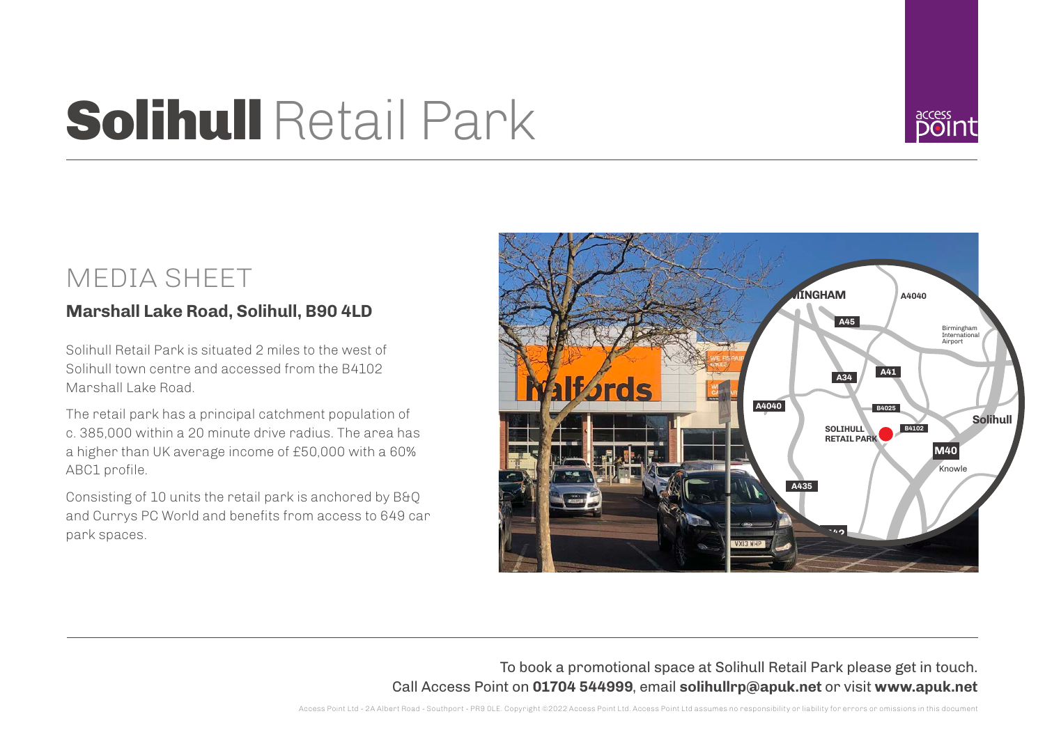## Solihull Retail Park



## MEDIA SHEET

## **Marshall Lake Road, Solihull, B90 4LD**

Solihull Retail Park is situated 2 miles to the west of Solihull town centre and accessed from the B4102 Marshall Lake Road.

The retail park has a principal catchment population of c. 385,000 within a 20 minute drive radius. The area has a higher than UK average income of £50,000 with a 60% ABC1 profile.

Consisting of 10 units the retail park is anchored by B&Q and Currys PC World and benefits from access to 649 car park spaces.



To book a promotional space at Solihull Retail Park please get in touch. Call Access Point on **01704 544999**, email **solihullrp@apuk.net** or visit **www.apuk.net**